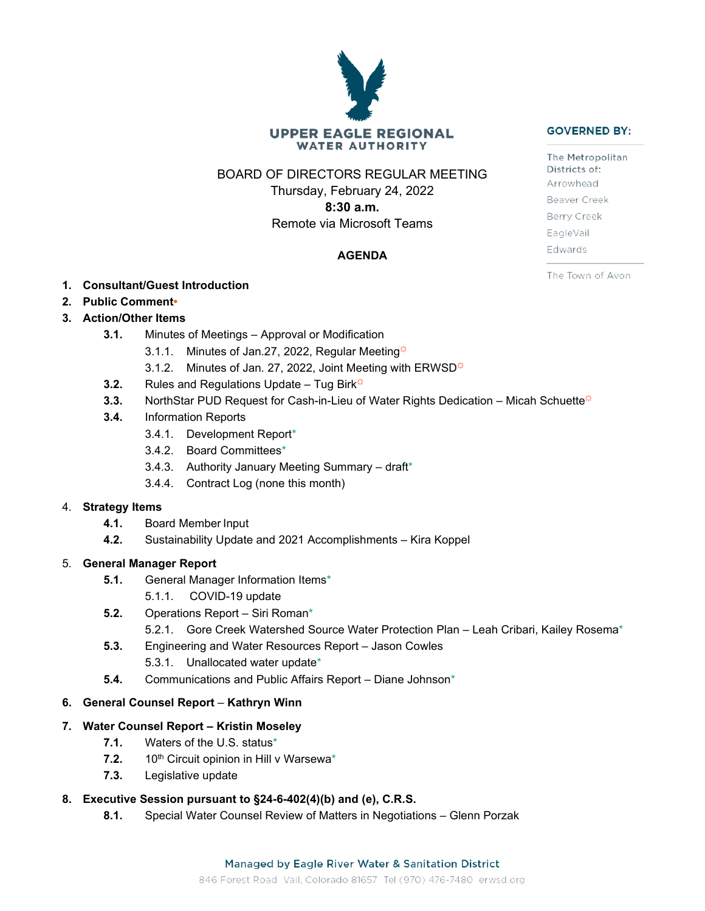# **UPPER EAGLE REGIONAL WATER AUTHORITY**

BOARD OF DIRECTORS REGULAR MEETING

Thursday, February 24, 2022 **8:30 a.m.** Remote via Microsoft Teams

## **AGENDA**

- **1. Consultant/Guest Introduction**
- **2. Public Comment•**

# **3. Action/Other Items**

- **3.1.** Minutes of Meetings Approval or Modification
	- 3.1.1. Minutes of Jan.27, 2022, Regular Meeting $\ddot{\varphi}$
	- 3.1.2. Minutes of Jan. 27, 2022, Joint Meeting with ERWSD $\ddot{\varphi}$
- **3.2.** Rules and Regulations Update Tug Birk<sup> $\ddot{\varphi}$ </sup>
- **3.3.** NorthStar PUD Request for Cash-in-Lieu of Water Rights Dedication Micah Schuette<sup>\*</sup>
- **3.4.** Information Reports
	- 3.4.1. Development Report\*
	- 3.4.2. Board Committees\*
	- 3.4.3. Authority January Meeting Summary draft\*
	- 3.4.4. Contract Log (none this month)

## 4. **Strategy Items**

- **4.1.** Board Member Input
- **4.2.** Sustainability Update and 2021 Accomplishments Kira Koppel

## 5. **General Manager Report**

- **5.1.** General Manager Information Items\*
	- 5.1.1. COVID-19 update
- **5.2.** Operations Report Siri Roman\*
	- 5.2.1. Gore Creek Watershed Source Water Protection Plan Leah Cribari, Kailey Rosema\*
- **5.3.** Engineering and Water Resources Report Jason Cowles
	- 5.3.1. Unallocated water update\*
- **5.4.** Communications and Public Affairs Report Diane Johnson\*

## **6. General Counsel Report** – **Kathryn Winn**

## **7. Water Counsel Report – Kristin Moseley**

- **7.1.** Waters of the U.S. status\*
- 7.2. 10<sup>th</sup> Circuit opinion in Hill v Warsewa<sup>\*</sup>
- **7.3.** Legislative update

## **8. Executive Session pursuant to §24-6-402(4)(b) and (e), C.R.S.**

**8.1.** Special Water Counsel Review of Matters in Negotiations – Glenn Porzak

#### **GOVERNED BY:**

The Metropolitan Districts of: Arrowhead Beaver Creek Berry Creek EagleVail Edwards

The Town of Avon